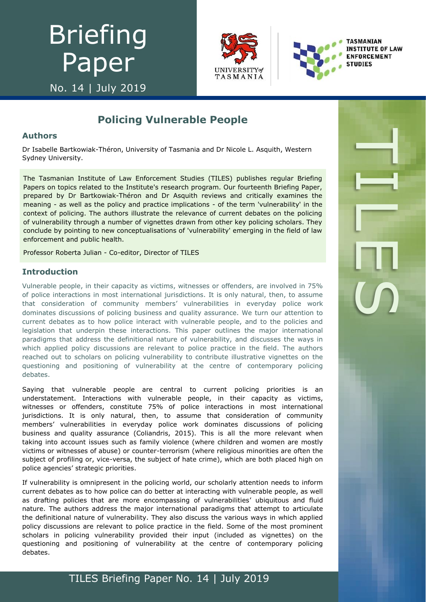# Briefing Paper

No. 14 | July 2019





HILES<br>TILES<br>O

# **Policing Vulnerable People**

#### **Authors**

Dr Isabelle Bartkowiak-Théron, University of Tasmania and Dr Nicole L. Asquith, Western Sydney University.

The Tasmanian Institute of Law Enforcement Studies (TILES) publishes regular Briefing Papers on topics related to the Institute's research program. Our fourteenth Briefing Paper, prepared by Dr Bartkowiak-Théron and Dr Asquith reviews and critically examines the meaning - as well as the policy and practice implications - of the term 'vulnerability' in the context of policing. The authors illustrate the relevance of current debates on the policing of vulnerability through a number of vignettes drawn from other key policing scholars. They conclude by pointing to new conceptualisations of 'vulnerability' emerging in the field of law enforcement and public health.

Professor Roberta Julian - Co-editor, Director of TILES

### **Introduction**

Vulnerable people, in their capacity as victims, witnesses or offenders, are involved in 75% of police interactions in most international jurisdictions. It is only natural, then, to assume that consideration of community members' vulnerabilities in everyday police work dominates discussions of policing business and quality assurance. We turn our attention to current debates as to how police interact with vulnerable people, and to the policies and legislation that underpin these interactions. This paper outlines the major international paradigms that address the definitional nature of vulnerability, and discusses the ways in which applied policy discussions are relevant to police practice in the field. The authors reached out to scholars on policing vulnerability to contribute illustrative vignettes on the questioning and positioning of vulnerability at the centre of contemporary policing debates.

Saying that vulnerable people are central to current policing priorities is an understatement. Interactions with vulnerable people, in their capacity as victims, witnesses or offenders, constitute 75% of police interactions in most international jurisdictions. It is only natural, then, to assume that consideration of community members' vulnerabilities in everyday police work dominates discussions of policing business and quality assurance (Coliandris, 2015). This is all the more relevant when taking into account issues such as family violence (where children and women are mostly victims or witnesses of abuse) or counter-terrorism (where religious minorities are often the subject of profiling or, vice-versa, the subject of hate crime), which are both placed high on police agencies' strategic priorities.

If vulnerability is omnipresent in the policing world, our scholarly attention needs to inform current debates as to how police can do better at interacting with vulnerable people, as well as drafting policies that are more encompassing of vulnerabilities' ubiquitous and fluid nature. The authors address the major international paradigms that attempt to articulate the definitional nature of vulnerability. They also discuss the various ways in which applied policy discussions are relevant to police practice in the field. Some of the most prominent scholars in policing vulnerability provided their input (included as vignettes) on the questioning and positioning of vulnerability at the centre of contemporary policing debates.

# TILES Briefing Paper No. 14 | July 2019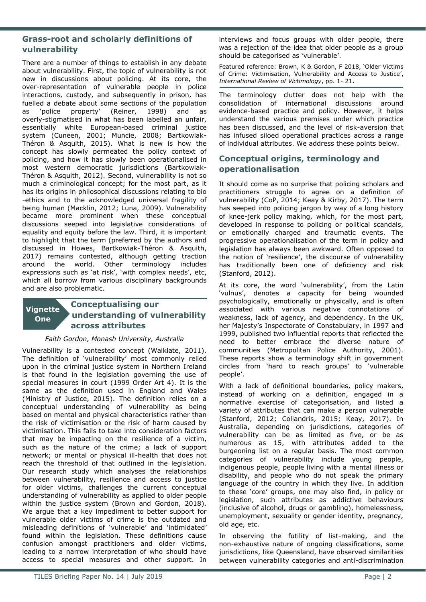#### **Grass-root and scholarly definitions of vulnerability**

There are a number of things to establish in any debate about vulnerability. First, the topic of vulnerability is not new in discussions about policing. At its core, the over-representation of vulnerable people in police interactions, custody, and subsequently in prison, has fuelled a debate about some sections of the population as 'police property' (Reiner, 1998) and as overly-stigmatised in what has been labelled an unfair, essentially white European-based criminal justice system (Cuneen, 2001; Muncie, 2008; Bartkowiak-Théron & Asquith, 2015). What is new is how the concept has slowly permeated the policy context of policing, and how it has slowly been operationalised in most western democratic jurisdictions (Bartkowiak-Théron & Asquith, 2012). Second, vulnerability is not so much a criminological concept; for the most part, as it has its origins in philosophical discussions relating to bio -ethics and to the acknowledged universal fragility of being human (Macklin, 2012; Luna, 2009). Vulnerability became more prominent when these conceptual discussions seeped into legislative considerations of equality and equity before the law. Third, it is important to highlight that the term (preferred by the authors and discussed in Howes, Bartkowiak-Théron & Asquith, 2017) remains contested, although getting traction around the world. Other terminology includes expressions such as 'at risk', 'with complex needs', etc, which all borrow from various disciplinary backgrounds and are also problematic.

#### **Conceptualising our understanding of vulnerability across attributes Vignette One**

#### *Faith Gordon, Monash University, Australia*

Vulnerability is a contested concept (Walklate, 2011). The definition of 'vulnerability' most commonly relied upon in the criminal justice system in Northern Ireland is that found in the legislation governing the use of special measures in court (1999 Order Art 4). It is the same as the definition used in England and Wales (Ministry of Justice, 2015). The definition relies on a conceptual understanding of vulnerability as being based on mental and physical characteristics rather than the risk of victimisation or the risk of harm caused by victimisation. This fails to take into consideration factors that may be impacting on the resilience of a victim, such as the nature of the crime; a lack of support network; or mental or physical ill-health that does not reach the threshold of that outlined in the legislation. Our research study which analyses the relationships between vulnerability, resilience and access to justice for older victims, challenges the current conceptual understanding of vulnerability as applied to older people within the justice system (Brown and Gordon, 2018). We argue that a key impediment to better support for vulnerable older victims of crime is the outdated and misleading definitions of 'vulnerable' and 'intimidated' found within the legislation. These definitions cause confusion amongst practitioners and older victims, leading to a narrow interpretation of who should have access to special measures and other support. In

interviews and focus groups with older people, there was a rejection of the idea that older people as a group should be categorised as 'vulnerable'.

Featured reference: Brown, K & Gordon, F 2018, 'Older Victims of Crime: Victimisation, Vulnerability and Access to Justice', *International Review of Victimology*, pp. 1- 21.

The terminology clutter does not help with the consolidation of international discussions around evidence-based practice and policy. However, it helps understand the various premises under which practice has been discussed, and the level of risk-aversion that has infused siloed operational practices across a range of individual attributes. We address these points below.

## **Conceptual origins, terminology and operationalisation**

It should come as no surprise that policing scholars and practitioners struggle to agree on a definition of vulnerability (CoP, 2014; Keay & Kirby, 2017). The term has seeped into policing jargon by way of a long history of knee-jerk policy making, which, for the most part, developed in response to policing or political scandals, or emotionally charged and traumatic events. The progressive operationalisation of the term in policy and legislation has always been awkward. Often opposed to the notion of 'resilience', the discourse of vulnerability has traditionally been one of deficiency and risk (Stanford, 2012).

At its core, the word 'vulnerability', from the Latin 'vulnus', denotes a capacity for being wounded psychologically, emotionally or physically, and is often associated with various negative connotations of weakness, lack of agency, and dependency. In the UK, her Majesty's Inspectorate of Constabulary, in 1997 and 1999, published two influential reports that reflected the need to better embrace the diverse nature of communities (Metropolitan Police Authority, 2001). These reports show a terminology shift in government circles from 'hard to reach groups' to 'vulnerable people'.

With a lack of definitional boundaries, policy makers, instead of working on a definition, engaged in a normative exercise of categorisation, and listed a variety of attributes that can make a person vulnerable (Stanford, 2012; Coliandris, 2015; Keay, 2017). In Australia, depending on jurisdictions, categories of vulnerability can be as limited as five, or be as numerous as 15, with attributes added to the burgeoning list on a regular basis. The most common categories of vulnerability include young people, indigenous people, people living with a mental illness or disability, and people who do not speak the primary language of the country in which they live. In addition to these 'core' groups, one may also find, in policy or legislation, such attributes as addictive behaviours (inclusive of alcohol, drugs or gambling), homelessness, unemployment, sexuality or gender identity, pregnancy, old age, etc.

In observing the futility of list-making, and the non-exhaustive nature of ongoing classifications, some jurisdictions, like Queensland, have observed similarities between vulnerability categories and anti-discrimination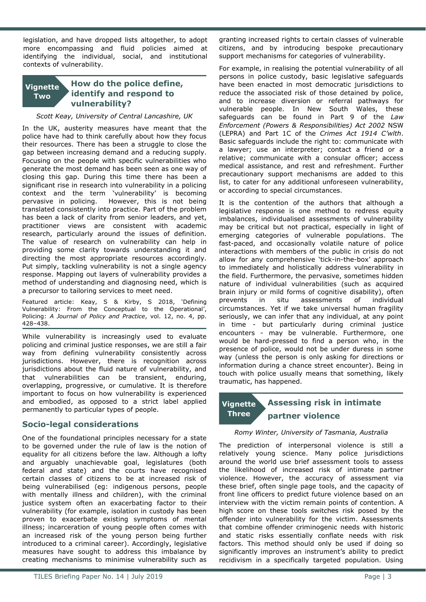legislation, and have dropped lists altogether, to adopt more encompassing and fluid policies aimed at identifying the individual, social, and institutional contexts of vulnerability.

#### **How do the police define, identify and respond to Vignette Two**

# **vulnerability?**

#### *Scott Keay, University of Central Lancashire, UK*

In the UK, austerity measures have meant that the police have had to think carefully about how they focus their resources. There has been a struggle to close the gap between increasing demand and a reducing supply. Focusing on the people with specific vulnerabilities who generate the most demand has been seen as one way of closing this gap. During this time there has been a significant rise in research into vulnerability in a policing context and the term 'vulnerability' is becoming pervasive in policing. However, this is not being translated consistently into practice. Part of the problem has been a lack of clarity from senior leaders, and yet, practitioner views are consistent with academic research, particularly around the issues of definition. The value of research on vulnerability can help in providing some clarity towards understanding it and directing the most appropriate resources accordingly. Put simply, tackling vulnerability is not a single agency response. Mapping out layers of vulnerability provides a method of understanding and diagnosing need, which is a precursor to tailoring services to meet need.

Featured article: Keay, S & Kirby, S 2018, 'Defining Vulnerability: From the Conceptual to the Operational', Policing: *A Journal of Policy and Practice*, vol. 12, no. 4, pp. 428–438.

While vulnerability is increasingly used to evaluate policing and criminal justice responses, we are still a fair way from defining vulnerability consistently across jurisdictions. However, there is recognition across jurisdictions about the fluid nature of vulnerability, and that vulnerabilities can be transient, enduring, overlapping, progressive, or cumulative. It is therefore important to focus on how vulnerability is experienced and embodied, as opposed to a strict label applied permanently to particular types of people.

### **Socio-legal considerations**

One of the foundational principles necessary for a state to be governed under the rule of law is the notion of equality for all citizens before the law. Although a lofty and arguably unachievable goal, legislatures (both federal and state) and the courts have recognised certain classes of citizens to be at increased risk of being vulnerabilised (eg: indigenous persons, people with mentally illness and children), with the criminal justice system often an exacerbating factor to their vulnerability (for example, isolation in custody has been proven to exacerbate existing symptoms of mental illness; incarceration of young people often comes with an increased risk of the young person being further introduced to a criminal career). Accordingly, legislative measures have sought to address this imbalance by creating mechanisms to minimise vulnerability such as

granting increased rights to certain classes of vulnerable citizens, and by introducing bespoke precautionary support mechanisms for categories of vulnerability.

For example, in realising the potential vulnerability of all persons in police custody, basic legislative safeguards have been enacted in most democratic jurisdictions to reduce the associated risk of those detained by police, and to increase diversion or referral pathways for vulnerable people. In New South Wales, these safeguards can be found in Part 9 of the *Law Enforcement (Powers & Responsibilities) Act 2002* NSW (LEPRA) and Part 1C of the *Crimes Act 1914 C'wlth*. Basic safeguards include the right to: communicate with a lawyer; use an interpreter; contact a friend or a relative; communicate with a consular officer; access medical assistance, and rest and refreshment. Further precautionary support mechanisms are added to this list, to cater for any additional unforeseen vulnerability, or according to special circumstances.

It is the contention of the authors that although a legislative response is one method to redress equity imbalances, individualised assessments of vulnerability may be critical but not practical, especially in light of emerging categories of vulnerable populations. The fast-paced, and occasionally volatile nature of police interactions with members of the public in crisis do not allow for any comprehensive 'tick-in-the-box' approach to immediately and holistically address vulnerability in the field. Furthermore, the pervasive, sometimes hidden nature of individual vulnerabilities (such as acquired brain injury or mild forms of cognitive disability), often prevents in situ assessments of individual circumstances. Yet if we take universal human fragility seriously, we can infer that any individual, at any point in time - but particularly during criminal justice encounters - may be vulnerable. Furthermore, one would be hard-pressed to find a person who, in the presence of police, would not be under duress in some way (unless the person is only asking for directions or information during a chance street encounter). Being in touch with police usually means that something, likely traumatic, has happened.

#### **Assessing risk in intimate partner violence Vignette Three**

#### *Romy Winter, University of Tasmania, Australia*

The prediction of interpersonal violence is still a relatively young science. Many police jurisdictions around the world use brief assessment tools to assess the likelihood of increased risk of intimate partner violence. However, the accuracy of assessment via these brief, often single page tools, and the capacity of front line officers to predict future violence based on an interview with the victim remain points of contention. A high score on these tools switches risk posed by the offender into vulnerability for the victim. Assessments that combine offender criminogenic needs with historic and static risks essentially conflate needs with risk factors. This method should only be used if doing so significantly improves an instrument's ability to predict recidivism in a specifically targeted population. Using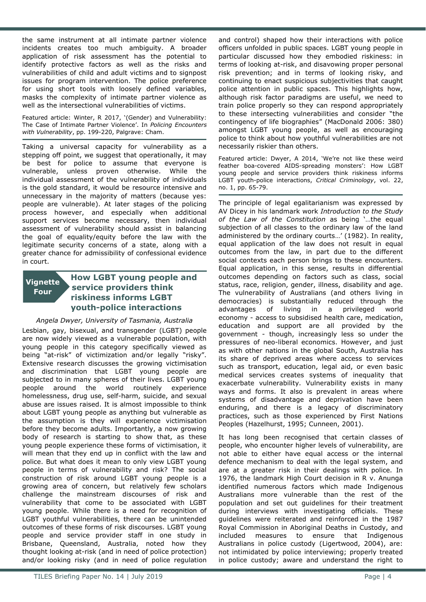the same instrument at all intimate partner violence incidents creates too much ambiguity. A broader application of risk assessment has the potential to identify protective factors as well as the risks and vulnerabilities of child and adult victims and to signpost issues for program intervention. The police preference for using short tools with loosely defined variables, masks the complexity of intimate partner violence as well as the intersectional vulnerabilities of victims.

Featured article: Winter, R 2017, '(Gender) and Vulnerability: The Case of Intimate Partner Violence'. In *Policing Encounters with Vulnerability*, pp. 199-220, Palgrave: Cham.

Taking a universal capacity for vulnerability as a stepping off point, we suggest that operationally, it may be best for police to assume that everyone is vulnerable, unless proven otherwise. While the individual assessment of the vulnerability of individuals is the gold standard, it would be resource intensive and unnecessary in the majority of matters (because yes: people are vulnerable). At later stages of the policing process however, and especially when additional support services become necessary, then individual assessment of vulnerability should assist in balancing the goal of equality/equity before the law with the legitimate security concerns of a state, along with a greater chance for admissibility of confessional evidence in court.

#### **How LGBT young people and service providers think riskiness informs LGBT youth-police interactions Vignette Four**

#### *Angela Dwyer, University of Tasmania, Australia*

Lesbian, gay, bisexual, and transgender (LGBT) people are now widely viewed as a vulnerable population, with young people in this category specifically viewed as being "at-risk" of victimization and/or legally "risky". Extensive research discusses the growing victimisation and discrimination that LGBT young people are subjected to in many spheres of their lives. LGBT young people around the world routinely experience homelessness, drug use, self-harm, suicide, and sexual abuse are issues raised. It is almost impossible to think about LGBT young people as anything but vulnerable as the assumption is they will experience victimisation before they become adults. Importantly, a now growing body of research is starting to show that, as these young people experience these forms of victimisation, it will mean that they end up in conflict with the law and police. But what does it mean to only view LGBT young people in terms of vulnerability and risk? The social construction of risk around LGBT young people is a growing area of concern, but relatively few scholars challenge the mainstream discourses of risk and vulnerability that come to be associated with LGBT young people. While there is a need for recognition of LGBT youthful vulnerabilities, there can be unintended outcomes of these forms of risk discourses. LGBT young people and service provider staff in one study in Brisbane, Queensland, Australia, noted how they thought looking at-risk (and in need of police protection) and/or looking risky (and in need of police regulation

and control) shaped how their interactions with police officers unfolded in public spaces. LGBT young people in particular discussed how they embodied riskiness: in terms of looking at-risk, and disavowing proper personal risk prevention; and in terms of looking risky, and continuing to enact suspicious subjectivities that caught police attention in public spaces. This highlights how, although risk factor paradigms are useful, we need to train police properly so they can respond appropriately to these intersecting vulnerabilities and consider "the contingency of life biographies" (MacDonald 2006: 380) amongst LGBT young people, as well as encouraging police to think about how youthful vulnerabilities are not necessarily riskier than others.

Featured article: Dwyer, A 2014, 'We're not like these weird feather boa-covered AIDS-spreading monsters': How LGBT young people and service providers think riskiness informs LGBT youth-police interactions, *Critical Criminology*, vol. 22, no. 1, pp. 65-79.

The principle of legal egalitarianism was expressed by AV Dicey in his landmark work *Introduction to the Study of the Law of the Constitution* as being '…the equal subjection of all classes to the ordinary law of the land administered by the ordinary courts…' (1982). In reality, equal application of the law does not result in equal outcomes from the law, in part due to the different social contexts each person brings to these encounters. Equal application, in this sense, results in differential outcomes depending on factors such as class, social status, race, religion, gender, illness, disability and age. The vulnerability of Australians (and others living in democracies) is substantially reduced through the advantages of living in a privileged world economy - access to subsidised health care, medication, education and support are all provided by the government - though, increasingly less so under the pressures of neo-liberal economics. However, and just as with other nations in the global South, Australia has its share of deprived areas where access to services such as transport, education, legal aid, or even basic medical services creates systems of inequality that exacerbate vulnerability. Vulnerability exists in many ways and forms. It also is prevalent in areas where systems of disadvantage and deprivation have been enduring, and there is a legacy of discriminatory practices, such as those experienced by First Nations Peoples (Hazelhurst, 1995; Cunneen, 2001).

It has long been recognised that certain classes of people, who encounter higher levels of vulnerability, are not able to either have equal access or the internal defence mechanism to deal with the legal system, and are at a greater risk in their dealings with police. In 1976, the landmark High Court decision in R v. Anunga identified numerous factors which made Indigenous Australians more vulnerable than the rest of the population and set out guidelines for their treatment during interviews with investigating officials. These guidelines were reiterated and reinforced in the 1987 Royal Commission in Aboriginal Deaths in Custody, and included measures to ensure that Indigenous Australians in police custody (Ligertwood, 2004), are: not intimidated by police interviewing; properly treated in police custody; aware and understand the right to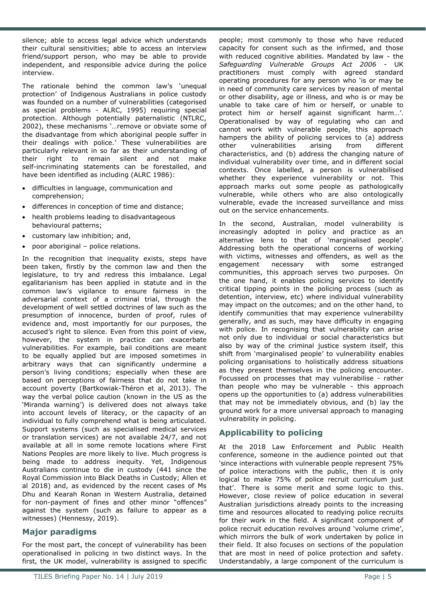silence; able to access legal advice which understands their cultural sensitivities; able to access an interview friend/support person, who may be able to provide independent, and responsible advice during the police interview.

The rationale behind the common law's 'unequal protection' of Indigenous Australians in police custody was founded on a number of vulnerabilities (categorised as special problems - ALRC, 1995) requiring special protection. Although potentially paternalistic (NTLRC, 2002), these mechanisms '…remove or obviate some of the disadvantage from which aboriginal people suffer in their dealings with police.' These vulnerabilities are particularly relevant in so far as their understanding of their right to remain silent and not make self-incriminating statements can be forestalled, and have been identified as including (ALRC 1986):

- difficulties in language, communication and comprehension;
- differences in conception of time and distance;
- health problems leading to disadvantageous behavioural patterns;
- customary law inhibition; and,
- poor aboriginal police relations.

In the recognition that inequality exists, steps have been taken, firstly by the common law and then the legislature, to try and redress this imbalance. Legal egalitarianism has been applied in statute and in the common law's vigilance to ensure fairness in the adversarial context of a criminal trial, through the development of well settled doctrines of law such as the presumption of innocence, burden of proof, rules of evidence and, most importantly for our purposes, the accused's right to silence. Even from this point of view, however, the system in practice can exacerbate vulnerabilities. For example, bail conditions are meant to be equally applied but are imposed sometimes in arbitrary ways that can significantly undermine a person's living conditions; especially when these are based on perceptions of fairness that do not take in account poverty (Bartkowiak-Théron et al, 2013). The way the verbal police caution (known in the US as the 'Miranda warning') is delivered does not always take into account levels of literacy, or the capacity of an individual to fully comprehend what is being articulated. Support systems (such as specialised medical services or translation services) are not available 24/7, and not available at all in some remote locations where First Nations Peoples are more likely to live. Much progress is being made to address inequity. Yet, Indigenous Australians continue to die in custody (441 since the Royal Commission into Black Deaths in Custody; Allen et al 2018) and, as evidenced by the recent cases of Ms Dhu and Kearah Ronan in Western Australia, detained for non-payment of fines and other minor "offences" against the system (such as failure to appear as a witnesses) (Hennessy, 2019).

# **Major paradigms**

For the most part, the concept of vulnerability has been operationalised in policing in two distinct ways. In the first, the UK model, vulnerability is assigned to specific

people; most commonly to those who have reduced capacity for consent such as the infirmed, and those with reduced cognitive abilities. Mandated by law - the *Safeguarding Vulnerable Groups Act 2006* - UK practitioners must comply with agreed standard operating procedures for any person who 'is or may be in need of community care services by reason of mental or other disability, age or illness, and who is or may be unable to take care of him or herself, or unable to protect him or herself against significant harm…'. Operationalised by way of regulating who can and cannot work with vulnerable people, this approach hampers the ability of policing services to (a) address other vulnerabilities arising from different characteristics, and (b) address the changing nature of individual vulnerability over time, and in different social contexts. Once labelled, a person is vulnerabilised whether they experience vulnerability or not. This approach marks out some people as pathologically vulnerable, while others who are also ontologically vulnerable, evade the increased surveillance and miss out on the service enhancements.

In the second, Australian, model vulnerability is increasingly adopted in policy and practice as an alternative lens to that of 'marginalised people'. Addressing both the operational concerns of working with victims, witnesses and offenders, as well as the engagement necessary with some estranged communities, this approach serves two purposes. On the one hand, it enables policing services to identify critical tipping points in the policing process (such as detention, interview, etc) where individual vulnerability may impact on the outcomes; and on the other hand, to identify communities that may experience vulnerability generally, and as such, may have difficulty in engaging with police. In recognising that vulnerability can arise not only due to individual or social characteristics but also by way of the criminal justice system itself, this shift from 'marginalised people' to vulnerability enables policing organisations to holistically address situations as they present themselves in the policing encounter. Focussed on processes that may vulnerabilise - rather than people who may be vulnerable - this approach opens up the opportunities to (a) address vulnerabilities that may not be immediately obvious, and (b) lay the ground work for a more universal approach to managing vulnerability in policing.

# **Applicability to policing**

At the 2018 Law Enforcement and Public Health conference, someone in the audience pointed out that 'since interactions with vulnerable people represent 75% of police interactions with the public, then it is only logical to make 75% of police recruit curriculum just that'. There is some merit and some logic to this. However, close review of police education in several Australian jurisdictions already points to the increasing time and resources allocated to readying police recruits for their work in the field. A significant component of police recruit education revolves around 'volume crime', which mirrors the bulk of work undertaken by police in their field. It also focuses on sections of the population that are most in need of police protection and safety. Understandably, a large component of the curriculum is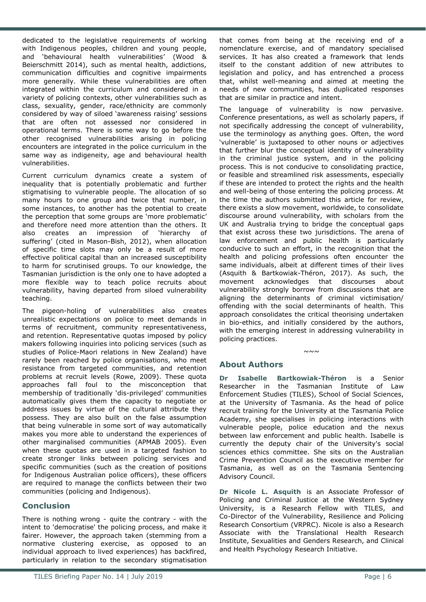dedicated to the legislative requirements of working with Indigenous peoples, children and young people, and 'behavioural health vulnerabilities' (Wood & Beierschmitt 2014), such as mental health, addictions, communication difficulties and cognitive impairments more generally. While these vulnerabilities are often integrated within the curriculum and considered in a variety of policing contexts, other vulnerabilities such as class, sexuality, gender, race/ethnicity are commonly considered by way of siloed 'awareness raising' sessions that are often not assessed nor considered in operational terms. There is some way to go before the other recognised vulnerabilities arising in policing encounters are integrated in the police curriculum in the same way as indigeneity, age and behavioural health vulnerabilities.

Current curriculum dynamics create a system of inequality that is potentially problematic and further stigmatising to vulnerable people. The allocation of so many hours to one group and twice that number, in some instances, to another has the potential to create the perception that some groups are 'more problematic' and therefore need more attention than the others. It also creates an impression of 'hierarchy of suffering' (cited in Mason-Bish, 2012), when allocation of specific time slots may only be a result of more effective political capital than an increased susceptibility to harm for scrutinised groups. To our knowledge, the Tasmanian jurisdiction is the only one to have adopted a more flexible way to teach police recruits about vulnerability, having departed from siloed vulnerability teaching.

The pigeon-holing of vulnerabilities also creates unrealistic expectations on police to meet demands in terms of recruitment, community representativeness, and retention. Representative quotas imposed by policy makers following inquiries into policing services (such as studies of Police-Maori relations in New Zealand) have rarely been reached by police organisations, who meet resistance from targeted communities, and retention problems at recruit levels (Rowe, 2009). These quota approaches fall foul to the misconception that membership of traditionally 'dis-privileged' communities automatically gives them the capacity to negotiate or address issues by virtue of the cultural attribute they possess. They are also built on the false assumption that being vulnerable in some sort of way automatically makes you more able to understand the experiences of other marginalised communities (APMAB 2005). Even when these quotas are used in a targeted fashion to create stronger links between policing services and specific communities (such as the creation of positions for Indigenous Australian police officers), these officers are required to manage the conflicts between their two communities (policing and Indigenous).

### **Conclusion**

There is nothing wrong - quite the contrary - with the intent to 'democratise' the policing process, and make it fairer. However, the approach taken (stemming from a normative clustering exercise, as opposed to an individual approach to lived experiences) has backfired, particularly in relation to the secondary stigmatisation that comes from being at the receiving end of a nomenclature exercise, and of mandatory specialised services. It has also created a framework that lends itself to the constant addition of new attributes to legislation and policy, and has entrenched a process that, whilst well-meaning and aimed at meeting the needs of new communities, has duplicated responses that are similar in practice and intent.

The language of vulnerability is now pervasive. Conference presentations, as well as scholarly papers, if not specifically addressing the concept of vulnerability, use the terminology as anything goes. Often, the word 'vulnerable' is juxtaposed to other nouns or adjectives that further blur the conceptual identity of vulnerability in the criminal justice system, and in the policing process. This is not conducive to consolidating practice, or feasible and streamlined risk assessments, especially if these are intended to protect the rights and the health and well-being of those entering the policing process. At the time the authors submitted this article for review, there exists a slow movement, worldwide, to consolidate discourse around vulnerability, with scholars from the UK and Australia trying to bridge the conceptual gaps that exist across these two jurisdictions. The arena of law enforcement and public health is particularly conducive to such an effort, in the recognition that the health and policing professions often encounter the same individuals, albeit at different times of their lives (Asquith & Bartkowiak-Théron, 2017). As such, the movement acknowledges that discourses about vulnerability strongly borrow from discussions that are aligning the determinants of criminal victimisation/ offending with the social determinants of health. This approach consolidates the critical theorising undertaken in bio-ethics, and initially considered by the authors, with the emerging interest in addressing vulnerability in policing practices.

 $~\sim~\sim~$ 

#### **About Authors**

**Dr Isabelle Bartkowiak-Théron** is a Senior Researcher in the Tasmanian Institute of Law Enforcement Studies (TILES), School of Social Sciences, at the University of Tasmania. As the head of police recruit training for the University at the Tasmania Police Academy, she specialises in policing interactions with vulnerable people, police education and the nexus between law enforcement and public health. Isabelle is currently the deputy chair of the University's social sciences ethics committee. She sits on the Australian Crime Prevention Council as the executive member for Tasmania, as well as on the Tasmania Sentencing Advisory Council.

**Dr Nicole L. Asquith** is an Associate Professor of Policing and Criminal Justice at the Western Sydney University, is a Research Fellow with TILES, and Co-Director of the Vulnerability, Resilience and Policing Research Consortium (VRPRC). Nicole is also a Research Associate with the Translational Health Research Institute, Sexualities and Genders Research, and Clinical and Health Psychology Research Initiative.